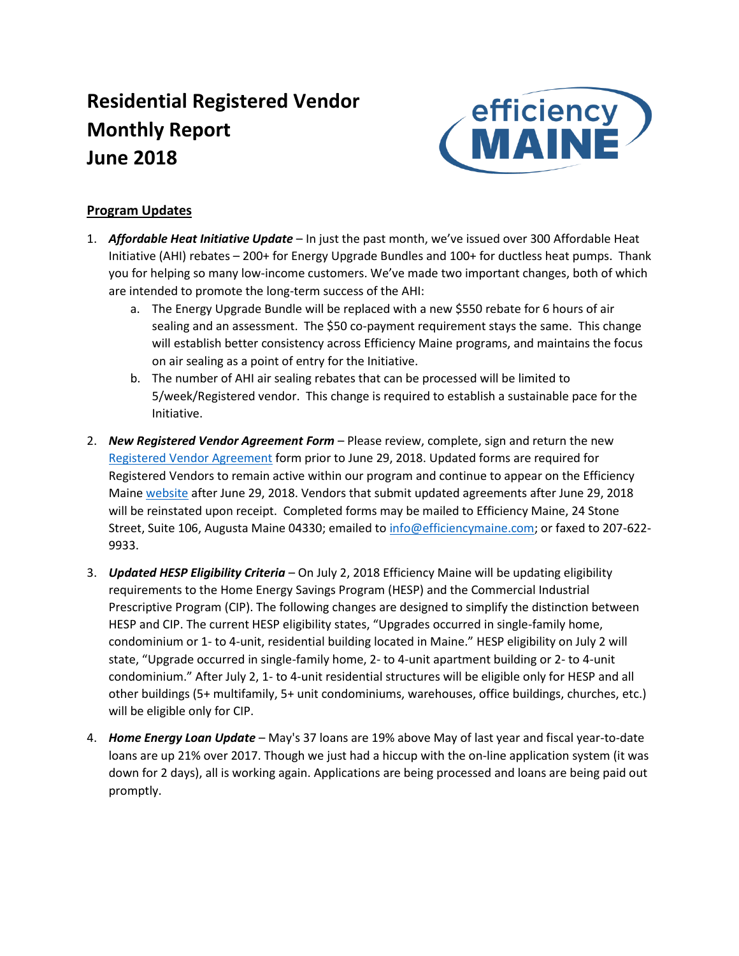# **Residential Registered Vendor Monthly Report June 2018**



## **Program Updates**

- 1. *Affordable Heat Initiative Update* In just the past month, we've issued over 300 Affordable Heat Initiative (AHI) rebates – 200+ for Energy Upgrade Bundles and 100+ for ductless heat pumps. Thank you for helping so many low-income customers. We've made two important changes, both of which are intended to promote the long-term success of the AHI:
	- a. The Energy Upgrade Bundle will be replaced with a new \$550 rebate for 6 hours of air sealing and an assessment. The \$50 co-payment requirement stays the same. This change will establish better consistency across Efficiency Maine programs, and maintains the focus on air sealing as a point of entry for the Initiative.
	- b. The number of AHI air sealing rebates that can be processed will be limited to 5/week/Registered vendor. This change is required to establish a sustainable pace for the Initiative.
- 2. *New Registered Vendor Agreement Form* Please review, complete, sign and return the new [Registered Vendor Agreement](https://www.efficiencymaine.com/docs/EM-RV-form.pdf) form prior to June 29, 2018. Updated forms are required for Registered Vendors to remain active within our program and continue to appear on the Efficiency Maine [website](https://www.efficiencymaine.com/at-home/vendor-locator/) after June 29, 2018. Vendors that submit updated agreements after June 29, 2018 will be reinstated upon receipt. Completed forms may be mailed to Efficiency Maine, 24 Stone Street, Suite 106, Augusta Maine 04330; emailed to [info@efficiencymaine.com;](mailto:info@efficiencymaine.com) or faxed to 207-622-9933.
- 3. *Updated HESP Eligibility Criteria* On July 2, 2018 Efficiency Maine will be updating eligibility requirements to the Home Energy Savings Program (HESP) and the Commercial Industrial Prescriptive Program (CIP). The following changes are designed to simplify the distinction between HESP and CIP. The current HESP eligibility states, "Upgrades occurred in single-family home, condominium or 1- to 4-unit, residential building located in Maine." HESP eligibility on July 2 will state, "Upgrade occurred in single-family home, 2- to 4-unit apartment building or 2- to 4-unit condominium." After July 2, 1- to 4-unit residential structures will be eligible only for HESP and all other buildings (5+ multifamily, 5+ unit condominiums, warehouses, office buildings, churches, etc.) will be eligible only for CIP.
- 4. *Home Energy Loan Update* May's 37 loans are 19% above May of last year and fiscal year-to-date loans are up 21% over 2017. Though we just had a hiccup with the on-line application system (it was down for 2 days), all is working again. Applications are being processed and loans are being paid out promptly.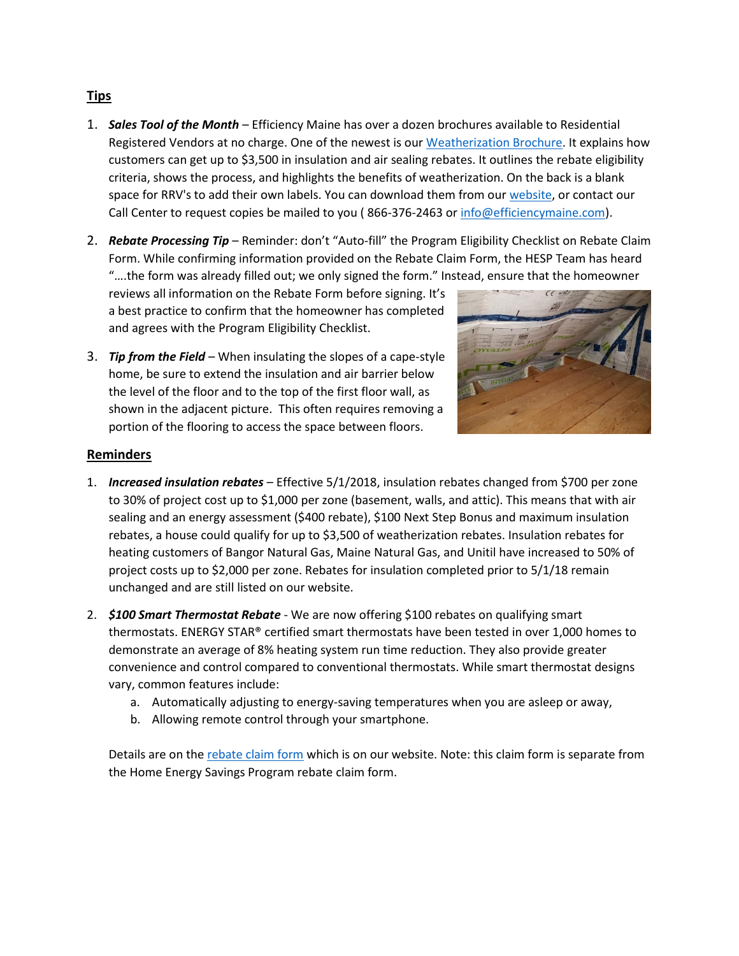## **Tips**

- 1. *Sales Tool of the Month* Efficiency Maine has over a dozen brochures available to Residential Registered Vendors at no charge. One of the newest is our [Weatherization Brochure.](https://www.efficiencymaine.com/docs/EM-Weatherization-Brochure.pdf) It explains how customers can get up to \$3,500 in insulation and air sealing rebates. It outlines the rebate eligibility criteria, shows the process, and highlights the benefits of weatherization. On the back is a blank space for RRV's to add their own labels. You can download them from our [website,](https://www.efficiencymaine.com/docs/EM-Weatherization-Brochure.pdf) or contact our Call Center to request copies be mailed to you ( 866-376-2463 o[r info@efficiencymaine.com\)](mailto:info@efficiencymaine.com).
- 2. **Rebate Processing Tip** Reminder: don't "Auto-fill" the Program Eligibility Checklist on Rebate Claim Form. While confirming information provided on the Rebate Claim Form, the HESP Team has heard "….the form was already filled out; we only signed the form." Instead, ensure that the homeowner

reviews all information on the Rebate Form before signing. It's a best practice to confirm that the homeowner has completed and agrees with the Program Eligibility Checklist.



3. *Tip from the Field* – When insulating the slopes of a cape-style home, be sure to extend the insulation and air barrier below the level of the floor and to the top of the first floor wall, as shown in the adjacent picture. This often requires removing a portion of the flooring to access the space between floors.

### **Reminders**

- 1. *Increased insulation rebates* Effective 5/1/2018, insulation rebates changed from \$700 per zone to 30% of project cost up to \$1,000 per zone (basement, walls, and attic). This means that with air sealing and an energy assessment (\$400 rebate), \$100 Next Step Bonus and maximum insulation rebates, a house could qualify for up to \$3,500 of weatherization rebates. Insulation rebates for heating customers of Bangor Natural Gas, Maine Natural Gas, and Unitil have increased to 50% of project costs up to \$2,000 per zone. Rebates for insulation completed prior to 5/1/18 remain unchanged and are still listed on our website.
- 2. *\$100 Smart Thermostat Rebate* We are now offering \$100 rebates on qualifying smart thermostats. ENERGY STAR® certified smart thermostats have been tested in over 1,000 homes to demonstrate an average of 8% heating system run time reduction. They also provide greater convenience and control compared to conventional thermostats. While smart thermostat designs vary, common features include:
	- a. Automatically adjusting to energy-saving temperatures when you are asleep or away,
	- b. Allowing remote control through your smartphone.

Details are on th[e rebate claim form](https://www.efficiencymaine.com/docs/EM-Smart-Thermostat-Rebate.pdf#page=2) which is on our website. Note: this claim form is separate from the Home Energy Savings Program rebate claim form.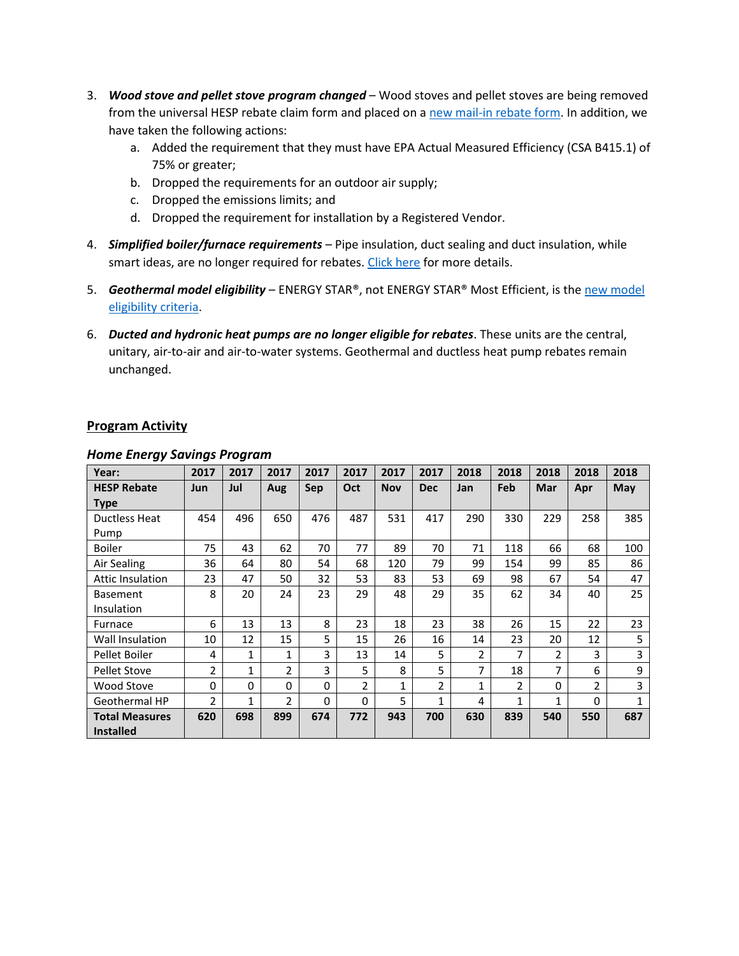- 3. *Wood stove and pellet stove program changed* Wood stoves and pellet stoves are being removed from the universal HESP rebate claim form and placed on [a new mail-in rebate form.](https://www.efficiencymaine.com/docs/EM-Pellet-and-Wood-Stove-Rebate.pdf) In addition, we have taken the following actions:
	- a. Added the requirement that they must have EPA Actual Measured Efficiency (CSA B415.1) of 75% or greater;
	- b. Dropped the requirements for an outdoor air supply;
	- c. Dropped the emissions limits; and
	- d. Dropped the requirement for installation by a Registered Vendor.
- 4. *Simplified boiler/furnace requirements* Pipe insulation, duct sealing and duct insulation, while smart ideas, are no longer required for rebates[. Click here](https://www.efficiencymaine.com/at-home/boilers-and-furnaces/) for more details.
- 5. *Geothermal model eligibility* ENERGY STAR®, not ENERGY STAR® Most Efficient, is the [new model](https://www.efficiencymaine.com/at-home/geothermal/)  [eligibility criteria.](https://www.efficiencymaine.com/at-home/geothermal/)
- 6. *Ducted and hydronic heat pumps are no longer eligible for rebates*. These units are the central, unitary, air-to-air and air-to-water systems. Geothermal and ductless heat pump rebates remain unchanged.

### **Program Activity**

| Year:                   | 2017           | 2017         | 2017           | 2017     | 2017           | 2017         | 2017           | 2018         | 2018 | 2018           | 2018           | 2018 |
|-------------------------|----------------|--------------|----------------|----------|----------------|--------------|----------------|--------------|------|----------------|----------------|------|
| <b>HESP Rebate</b>      | Jun            | Jul          | Aug            | Sep      | Oct            | <b>Nov</b>   | <b>Dec</b>     | Jan          | Feb  | Mar            | Apr            | May  |
| <b>Type</b>             |                |              |                |          |                |              |                |              |      |                |                |      |
| <b>Ductless Heat</b>    | 454            | 496          | 650            | 476      | 487            | 531          | 417            | 290          | 330  | 229            | 258            | 385  |
| Pump                    |                |              |                |          |                |              |                |              |      |                |                |      |
| <b>Boiler</b>           | 75             | 43           | 62             | 70       | 77             | 89           | 70             | 71           | 118  | 66             | 68             | 100  |
| Air Sealing             | 36             | 64           | 80             | 54       | 68             | 120          | 79             | 99           | 154  | 99             | 85             | 86   |
| <b>Attic Insulation</b> | 23             | 47           | 50             | 32       | 53             | 83           | 53             | 69           | 98   | 67             | 54             | 47   |
| <b>Basement</b>         | 8              | 20           | 24             | 23       | 29             | 48           | 29             | 35           | 62   | 34             | 40             | 25   |
| Insulation              |                |              |                |          |                |              |                |              |      |                |                |      |
| Furnace                 | 6              | 13           | 13             | 8        | 23             | 18           | 23             | 38           | 26   | 15             | 22             | 23   |
| Wall Insulation         | 10             | 12           | 15             | 5        | 15             | 26           | 16             | 14           | 23   | 20             | 12             | 5    |
| Pellet Boiler           | 4              | 1            | 1              | 3        | 13             | 14           | 5              | 2            | 7    | $\overline{2}$ | 3              | 3    |
| <b>Pellet Stove</b>     | $\overline{2}$ | $\mathbf{1}$ | $\overline{2}$ | 3        | 5              | 8            | 5              | 7            | 18   | 7              | 6              | 9    |
| Wood Stove              | $\Omega$       | $\Omega$     | $\Omega$       | $\Omega$ | $\overline{2}$ | $\mathbf{1}$ | $\overline{2}$ | $\mathbf{1}$ | 2    | 0              | $\overline{2}$ | 3    |
| Geothermal HP           | $\overline{2}$ | 1            | $\mathfrak{p}$ | $\Omega$ | $\Omega$       | 5            | 1              | 4            | 1    | 1              | 0              |      |
| <b>Total Measures</b>   | 620            | 698          | 899            | 674      | 772            | 943          | 700            | 630          | 839  | 540            | 550            | 687  |
| <b>Installed</b>        |                |              |                |          |                |              |                |              |      |                |                |      |

#### *Home Energy Savings Program*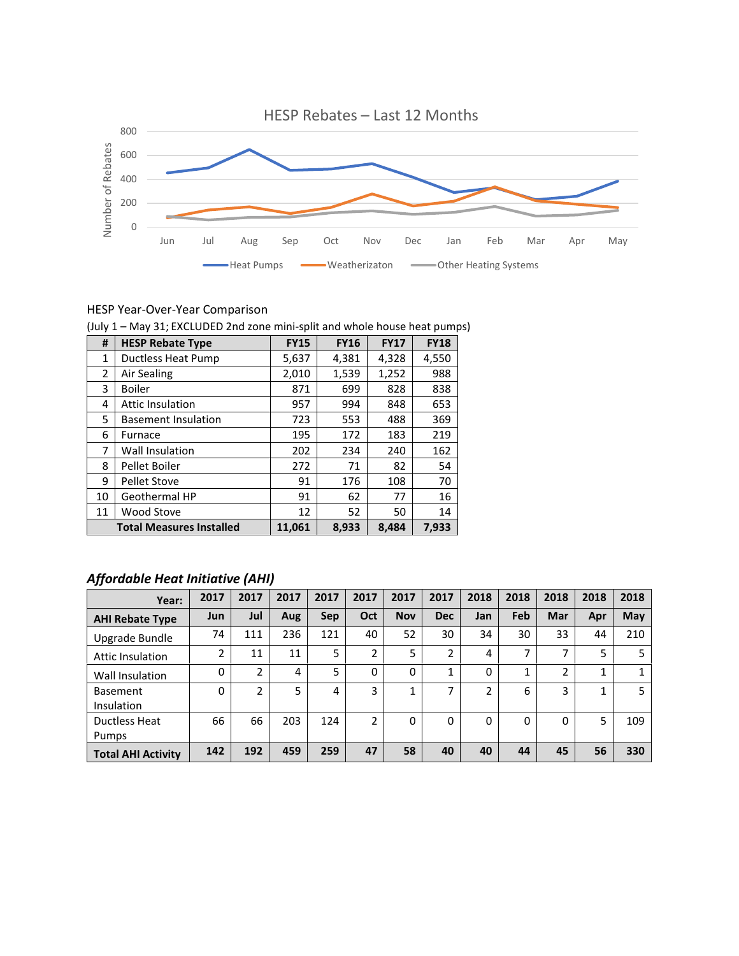

#### HESP Year-Over-Year Comparison

|  |  |  | (July 1 - May 31; EXCLUDED 2nd zone mini-split and whole house heat pumps) |
|--|--|--|----------------------------------------------------------------------------|
|--|--|--|----------------------------------------------------------------------------|

| #  | <b>HESP Rebate Type</b>         | <b>FY15</b> | <b>FY16</b> | <b>FY17</b> | <b>FY18</b> |
|----|---------------------------------|-------------|-------------|-------------|-------------|
| 1  | Ductless Heat Pump              | 5,637       | 4,381       | 4,328       | 4,550       |
| 2  | Air Sealing                     | 2,010       | 1,539       | 1,252       | 988         |
| 3  | <b>Boiler</b>                   | 871         | 699         | 828         | 838         |
| 4  | <b>Attic Insulation</b>         | 957         | 994         | 848         | 653         |
| 5  | <b>Basement Insulation</b>      | 723         | 553         | 488         | 369         |
| 6  | Furnace                         | 195         | 172         | 183         | 219         |
| 7  | <b>Wall Insulation</b>          | 202         | 234         | 240         | 162         |
| 8  | Pellet Boiler                   | 272         | 71          | 82          | 54          |
| 9  | <b>Pellet Stove</b>             | 91          | 176         | 108         | 70          |
| 10 | Geothermal HP                   | 91          | 62          | 77          | 16          |
| 11 | <b>Wood Stove</b>               | 12          | 52          | 50          | 14          |
|    | <b>Total Measures Installed</b> | 11,061      | 8,933       | 8,484       | 7,933       |

## *Affordable Heat Initiative (AHI)*

| Year:                                | 2017       | 2017           | 2017 | 2017 | 2017     | 2017       | 2017       | 2018           | 2018 | 2018          | 2018 | 2018 |
|--------------------------------------|------------|----------------|------|------|----------|------------|------------|----------------|------|---------------|------|------|
| <b>AHI Rebate Type</b>               | <b>Jun</b> | Jul            | Aug  | Sep  | Oct      | <b>Nov</b> | <b>Dec</b> | Jan            | Feb  | Mar           | Apr  | May  |
| Upgrade Bundle                       | 74         | 111            | 236  | 121  | 40       | 52         | 30         | 34             | 30   | 33            | 44   | 210  |
| Attic Insulation                     | 2          | 11             | 11   | 5    | 2        | 5          | 2          | 4              | 7    | 7             | 5    | 5    |
| Wall Insulation                      | $\Omega$   | $\overline{2}$ | 4    | 5    | $\Omega$ | 0          | 1          | 0              | 1    | $\mathfrak z$ | 1    |      |
| <b>Basement</b><br><b>Insulation</b> | $\Omega$   | $\mathfrak{p}$ | 5    | 4    | 3        | 4          | 7          | $\mathfrak{p}$ | 6    | 3             | 1    | 5    |
| Ductless Heat                        | 66         | 66             | 203  | 124  | 2        | 0          | 0          | 0              | 0    | 0             | 5    | 109  |
| Pumps                                |            |                |      |      |          |            |            |                |      |               |      |      |
| <b>Total AHI Activity</b>            | 142        | 192            | 459  | 259  | 47       | 58         | 40         | 40             | 44   | 45            | 56   | 330  |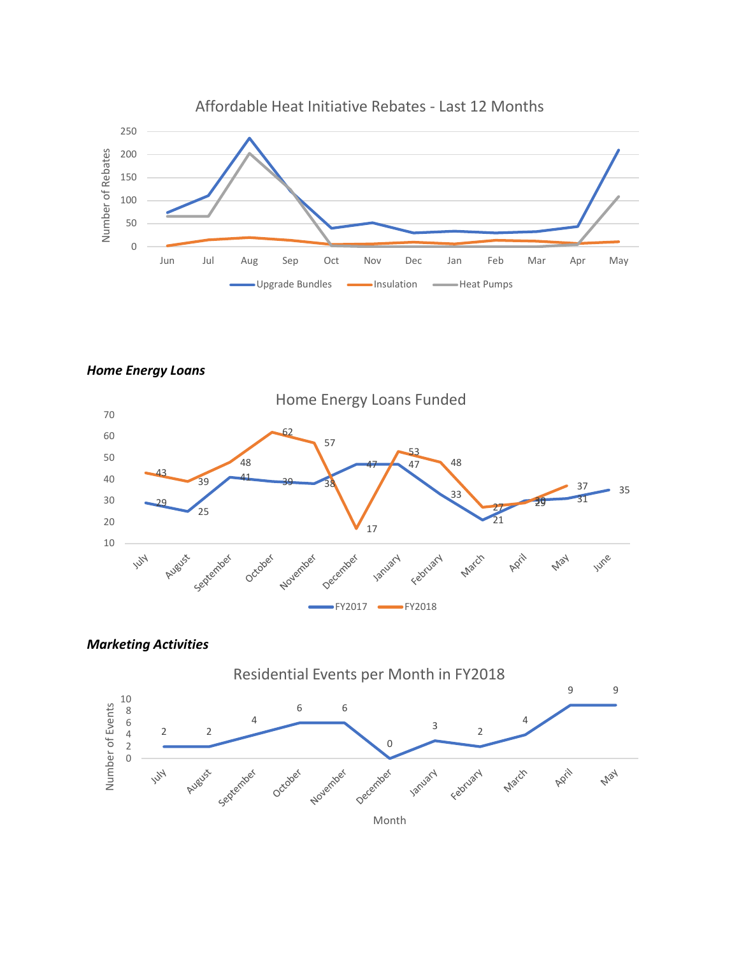

*Home Energy Loans*